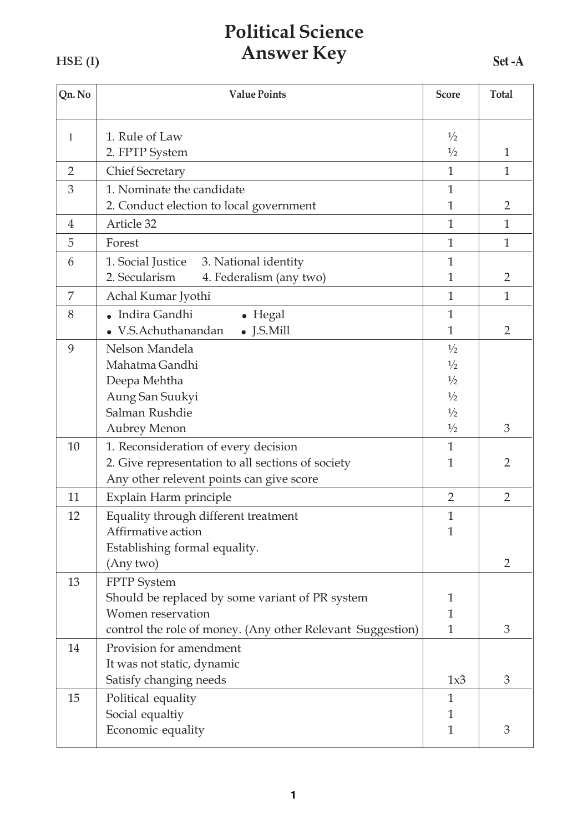## **Political Science Answer Key**

HSE<sub>(I)</sub>

| Qn. No         | <b>Value Points</b>                                        | <b>Score</b>   | <b>Total</b>   |
|----------------|------------------------------------------------------------|----------------|----------------|
| 1              | 1. Rule of Law                                             | $\frac{1}{2}$  |                |
|                | 2. FPTP System                                             | $\frac{1}{2}$  | $\mathbf{1}$   |
| $\overline{2}$ | <b>Chief Secretary</b>                                     | $\mathbf{1}$   | $\mathbf{1}$   |
| 3              | 1. Nominate the candidate                                  | $\mathbf{1}$   |                |
|                | 2. Conduct election to local government                    | $\mathbf{1}$   | $\overline{2}$ |
| $\overline{4}$ | Article 32                                                 | $\mathbf{1}$   | $\mathbf{1}$   |
| 5              | Forest                                                     | $\mathbf{1}$   | $\mathbf{1}$   |
| 6              | 1. Social Justice 3. National identity                     | $\mathbf{1}$   |                |
|                | 2. Secularism<br>4. Federalism (any two)                   | $\mathbf{1}$   | $\overline{2}$ |
| 7              | Achal Kumar Jyothi                                         | $\mathbf{1}$   | $\mathbf{1}$   |
| 8              | • Indira Gandhi<br>$\bullet$ Hegal                         | $\mathbf{1}$   |                |
|                | $\bullet$ J.S.Mill<br>V.S.Achuthanandan                    | $\mathbf{1}$   | $\overline{2}$ |
| 9              | Nelson Mandela                                             | $\frac{1}{2}$  |                |
|                | Mahatma Gandhi                                             | $\frac{1}{2}$  |                |
|                | Deepa Mehtha                                               | $\frac{1}{2}$  |                |
|                | Aung San Suukyi                                            | $\frac{1}{2}$  |                |
|                | Salman Rushdie                                             | 1/2            |                |
|                | <b>Aubrey Menon</b>                                        | $\frac{1}{2}$  | 3              |
| 10             | 1. Reconsideration of every decision                       | $\mathbf{1}$   |                |
|                | 2. Give representation to all sections of society          | $\mathbf{1}$   | $\overline{2}$ |
|                | Any other relevent points can give score                   |                |                |
| 11             | Explain Harm principle                                     | $\overline{2}$ | $\overline{2}$ |
| 12             | Equality through different treatment                       | $\mathbf{1}$   |                |
|                | Affirmative action                                         | $\mathbf{1}$   |                |
|                | Establishing formal equality.                              |                |                |
|                | (Any two)                                                  |                | $\overline{2}$ |
| 13             | <b>FPTP</b> System                                         |                |                |
|                | Should be replaced by some variant of PR system            | 1              |                |
|                | Women reservation                                          | $\mathbf{1}$   |                |
|                | control the role of money. (Any other Relevant Suggestion) | $\mathbf{1}$   | 3              |
| 14             | Provision for amendment                                    |                |                |
|                | It was not static, dynamic                                 |                |                |
|                | Satisfy changing needs                                     | 1x3            | 3              |
| 15             | Political equality                                         | $\mathbf{1}$   |                |
|                | Social equaltiy                                            | $\mathbf{1}$   |                |
|                | Economic equality                                          | $\mathbf{1}$   | 3              |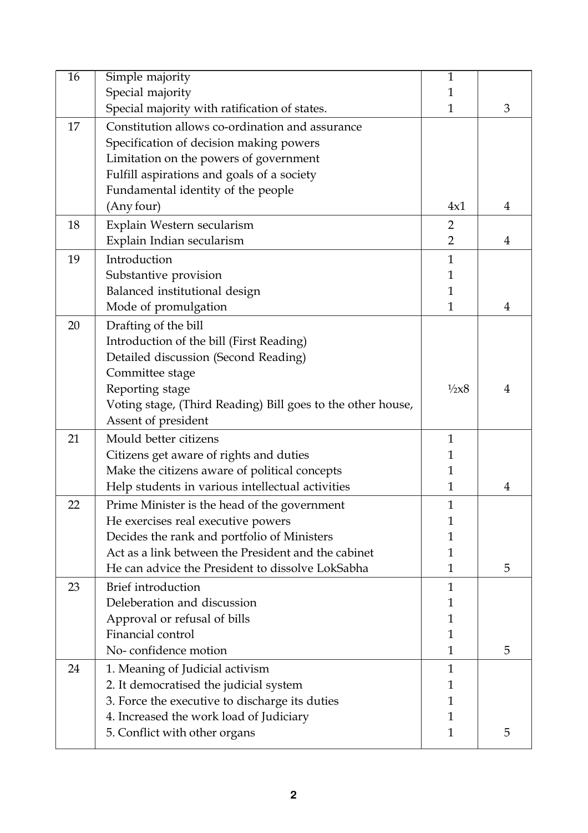| $\overline{16}$ | Simple majority                                             | $\mathbf{1}$    |                |
|-----------------|-------------------------------------------------------------|-----------------|----------------|
|                 | Special majority                                            | 1               |                |
|                 | Special majority with ratification of states.               | $\mathbf{1}$    | 3              |
| 17              | Constitution allows co-ordination and assurance             |                 |                |
|                 | Specification of decision making powers                     |                 |                |
|                 | Limitation on the powers of government                      |                 |                |
|                 | Fulfill aspirations and goals of a society                  |                 |                |
|                 | Fundamental identity of the people                          |                 |                |
|                 | (Any four)                                                  | 4x1             | 4              |
| 18              | Explain Western secularism                                  | $\overline{2}$  |                |
|                 | Explain Indian secularism                                   | $\overline{2}$  | $\overline{4}$ |
| 19              | Introduction                                                | $\mathbf{1}$    |                |
|                 | Substantive provision                                       | 1               |                |
|                 | Balanced institutional design                               | 1               |                |
|                 | Mode of promulgation                                        | $\mathbf{1}$    | 4              |
| 20              | Drafting of the bill                                        |                 |                |
|                 | Introduction of the bill (First Reading)                    |                 |                |
|                 |                                                             |                 |                |
|                 | Detailed discussion (Second Reading)<br>Committee stage     |                 |                |
|                 |                                                             | $\frac{1}{2}x8$ | 4              |
|                 | Reporting stage                                             |                 |                |
|                 | Voting stage, (Third Reading) Bill goes to the other house, |                 |                |
|                 | Assent of president                                         |                 |                |
| 21              | Mould better citizens                                       | 1               |                |
|                 | Citizens get aware of rights and duties                     | 1               |                |
|                 | Make the citizens aware of political concepts               | 1               |                |
|                 | Help students in various intellectual activities            | $\mathbf{1}$    | 4              |
| 22              | Prime Minister is the head of the government                | $\mathbf{1}$    |                |
|                 | He exercises real executive powers                          | 1               |                |
|                 | Decides the rank and portfolio of Ministers                 |                 |                |
|                 | Act as a link between the President and the cabinet         | 1               |                |
|                 | He can advice the President to dissolve LokSabha            | 1               | 5              |
| 23              | Brief introduction                                          | $\mathbf{1}$    |                |
|                 | Deleberation and discussion                                 | 1               |                |
|                 | Approval or refusal of bills                                | 1               |                |
|                 | Financial control                                           | 1               |                |
|                 | No-confidence motion                                        | 1               | 5              |
| 24              | 1. Meaning of Judicial activism                             | 1               |                |
|                 | 2. It democratised the judicial system                      | 1               |                |
|                 | 3. Force the executive to discharge its duties              | 1               |                |
|                 | 4. Increased the work load of Judiciary                     | 1               |                |
|                 | 5. Conflict with other organs                               | $\mathbf{1}$    | 5              |
|                 |                                                             |                 |                |